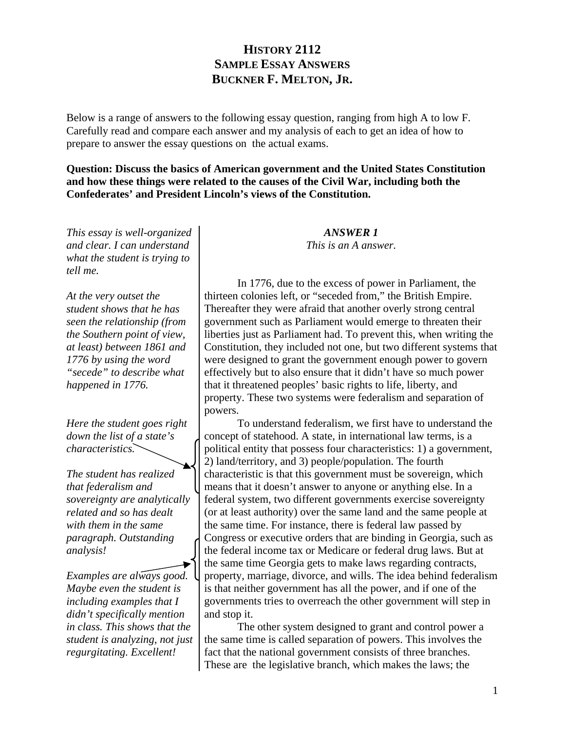# **HISTORY 2112 SAMPLE ESSAY ANSWERS BUCKNER F. MELTON, JR.**

Below is a range of answers to the following essay question, ranging from high A to low F. Carefully read and compare each answer and my analysis of each to get an idea of how to prepare to answer the essay questions on the actual exams.

**Question: Discuss the basics of American government and the United States Constitution and how these things were related to the causes of the Civil War, including both the Confederates' and President Lincoln's views of the Constitution.** 

*This essay is well-organized and clear. I can understand what the student is trying to tell me.* 

*At the very outset the student shows that he has seen the relationship (from the Southern point of view, at least) between 1861 and 1776 by using the word "secede" to describe what happened in 1776.* 

*Here the student goes right down the list of a state's characteristics.* 

*The student has realized that federalism and sovereignty are analytically related and so has dealt with them in the same paragraph. Outstanding analysis!* 

*Examples are always good. Maybe even the student is including examples that I didn't specifically mention in class. This shows that the student is analyzing, not just regurgitating. Excellent!* 

*ANSWER 1 This is an A answer.* 

 In 1776, due to the excess of power in Parliament, the thirteen colonies left, or "seceded from," the British Empire. Thereafter they were afraid that another overly strong central government such as Parliament would emerge to threaten their liberties just as Parliament had. To prevent this, when writing the Constitution, they included not one, but two different systems that were designed to grant the government enough power to govern effectively but to also ensure that it didn't have so much power that it threatened peoples' basic rights to life, liberty, and property. These two systems were federalism and separation of powers.

 To understand federalism, we first have to understand the concept of statehood. A state, in international law terms, is a political entity that possess four characteristics: 1) a government, 2) land/territory, and 3) people/population. The fourth characteristic is that this government must be sovereign, which means that it doesn't answer to anyone or anything else. In a federal system, two different governments exercise sovereignty (or at least authority) over the same land and the same people at the same time. For instance, there is federal law passed by Congress or executive orders that are binding in Georgia, such as the federal income tax or Medicare or federal drug laws. But at the same time Georgia gets to make laws regarding contracts, property, marriage, divorce, and wills. The idea behind federalism is that neither government has all the power, and if one of the governments tries to overreach the other government will step in and stop it.

 The other system designed to grant and control power a the same time is called separation of powers. This involves the fact that the national government consists of three branches. These are the legislative branch, which makes the laws; the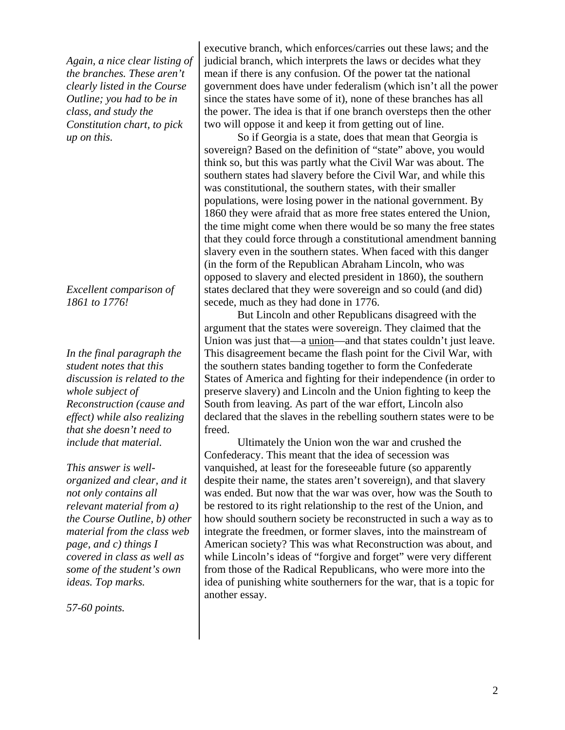*Again, a nice clear listing of the branches. These aren't clearly listed in the Course Outline; you had to be in class, and study the Constitution chart, to pick up on this.* 

*Excellent comparison of 1861 to 1776!* 

*In the final paragraph the student notes that this discussion is related to the whole subject of Reconstruction (cause and effect) while also realizing that she doesn't need to include that material.* 

*This answer is wellorganized and clear, and it not only contains all relevant material from a) the Course Outline, b) other material from the class web page, and c) things I covered in class as well as some of the student's own ideas. Top marks.* 

*57-60 points.* 

executive branch, which enforces/carries out these laws; and the judicial branch, which interprets the laws or decides what they mean if there is any confusion. Of the power tat the national government does have under federalism (which isn't all the power since the states have some of it), none of these branches has all the power. The idea is that if one branch oversteps then the other two will oppose it and keep it from getting out of line.

 So if Georgia is a state, does that mean that Georgia is sovereign? Based on the definition of "state" above, you would think so, but this was partly what the Civil War was about. The southern states had slavery before the Civil War, and while this was constitutional, the southern states, with their smaller populations, were losing power in the national government. By 1860 they were afraid that as more free states entered the Union, the time might come when there would be so many the free states that they could force through a constitutional amendment banning slavery even in the southern states. When faced with this danger (in the form of the Republican Abraham Lincoln, who was opposed to slavery and elected president in 1860), the southern states declared that they were sovereign and so could (and did) secede, much as they had done in 1776.

 But Lincoln and other Republicans disagreed with the argument that the states were sovereign. They claimed that the Union was just that—a union—and that states couldn't just leave. This disagreement became the flash point for the Civil War, with the southern states banding together to form the Confederate States of America and fighting for their independence (in order to preserve slavery) and Lincoln and the Union fighting to keep the South from leaving. As part of the war effort, Lincoln also declared that the slaves in the rebelling southern states were to be freed.

 Ultimately the Union won the war and crushed the Confederacy. This meant that the idea of secession was vanquished, at least for the foreseeable future (so apparently despite their name, the states aren't sovereign), and that slavery was ended. But now that the war was over, how was the South to be restored to its right relationship to the rest of the Union, and how should southern society be reconstructed in such a way as to integrate the freedmen, or former slaves, into the mainstream of American society? This was what Reconstruction was about, and while Lincoln's ideas of "forgive and forget" were very different from those of the Radical Republicans, who were more into the idea of punishing white southerners for the war, that is a topic for another essay.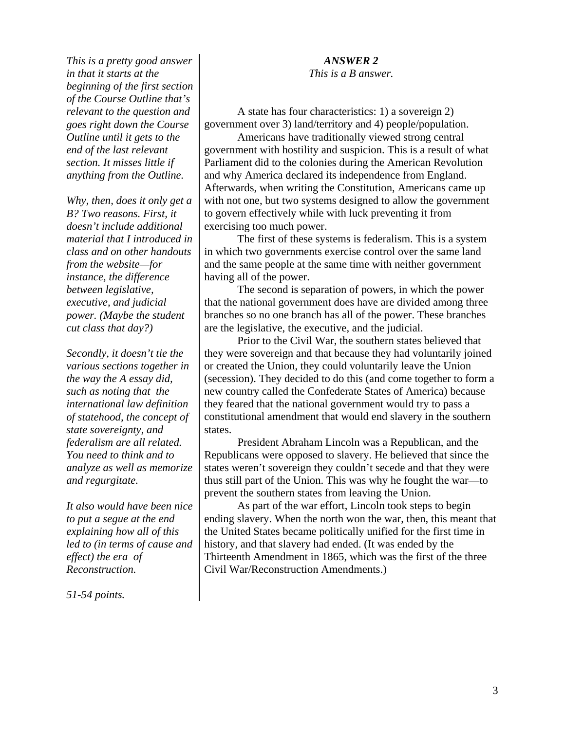*This is a pretty good answer in that it starts at the beginning of the first section of the Course Outline that's relevant to the question and goes right down the Course Outline until it gets to the end of the last relevant section. It misses little if anything from the Outline.* 

*Why, then, does it only get a B? Two reasons. First, it doesn't include additional material that I introduced in class and on other handouts from the website—for instance, the difference between legislative, executive, and judicial power. (Maybe the student cut class that day?)* 

*Secondly, it doesn't tie the various sections together in the way the A essay did, such as noting that the international law definition of statehood, the concept of state sovereignty, and federalism are all related. You need to think and to analyze as well as memorize and regurgitate.* 

*It also would have been nice to put a segue at the end explaining how all of this led to (in terms of cause and effect) the era of Reconstruction.* 

*51-54 points.* 

### *ANSWER 2*

*This is a B answer.* 

 A state has four characteristics: 1) a sovereign 2) government over 3) land/territory and 4) people/population.

 Americans have traditionally viewed strong central government with hostility and suspicion. This is a result of what Parliament did to the colonies during the American Revolution and why America declared its independence from England. Afterwards, when writing the Constitution, Americans came up with not one, but two systems designed to allow the government to govern effectively while with luck preventing it from exercising too much power.

 The first of these systems is federalism. This is a system in which two governments exercise control over the same land and the same people at the same time with neither government having all of the power.

 The second is separation of powers, in which the power that the national government does have are divided among three branches so no one branch has all of the power. These branches are the legislative, the executive, and the judicial.

 Prior to the Civil War, the southern states believed that they were sovereign and that because they had voluntarily joined or created the Union, they could voluntarily leave the Union (secession). They decided to do this (and come together to form a new country called the Confederate States of America) because they feared that the national government would try to pass a constitutional amendment that would end slavery in the southern states.

 President Abraham Lincoln was a Republican, and the Republicans were opposed to slavery. He believed that since the states weren't sovereign they couldn't secede and that they were thus still part of the Union. This was why he fought the war—to prevent the southern states from leaving the Union.

 As part of the war effort, Lincoln took steps to begin ending slavery. When the north won the war, then, this meant that the United States became politically unified for the first time in history, and that slavery had ended. (It was ended by the Thirteenth Amendment in 1865, which was the first of the three Civil War/Reconstruction Amendments.)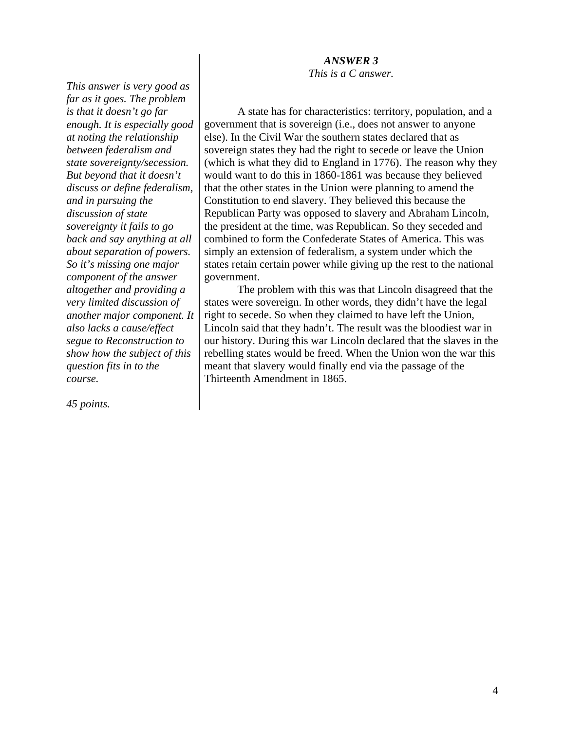### *ANSWER 3*

*This is a C answer.* 

*This answer is very good as far as it goes. The problem is that it doesn't go far enough. It is especially good at noting the relationship between federalism and state sovereignty/secession. But beyond that it doesn't discuss or define federalism, and in pursuing the discussion of state sovereignty it fails to go back and say anything at all about separation of powers. So it's missing one major component of the answer altogether and providing a very limited discussion of another major component. It also lacks a cause/effect segue to Reconstruction to show how the subject of this question fits in to the course.* 

*45 points.*

 A state has for characteristics: territory, population, and a government that is sovereign (i.e., does not answer to anyone else). In the Civil War the southern states declared that as sovereign states they had the right to secede or leave the Union (which is what they did to England in 1776). The reason why they would want to do this in 1860-1861 was because they believed that the other states in the Union were planning to amend the Constitution to end slavery. They believed this because the Republican Party was opposed to slavery and Abraham Lincoln, the president at the time, was Republican. So they seceded and combined to form the Confederate States of America. This was simply an extension of federalism, a system under which the states retain certain power while giving up the rest to the national government.

 The problem with this was that Lincoln disagreed that the states were sovereign. In other words, they didn't have the legal right to secede. So when they claimed to have left the Union, Lincoln said that they hadn't. The result was the bloodiest war in our history. During this war Lincoln declared that the slaves in the rebelling states would be freed. When the Union won the war this meant that slavery would finally end via the passage of the Thirteenth Amendment in 1865.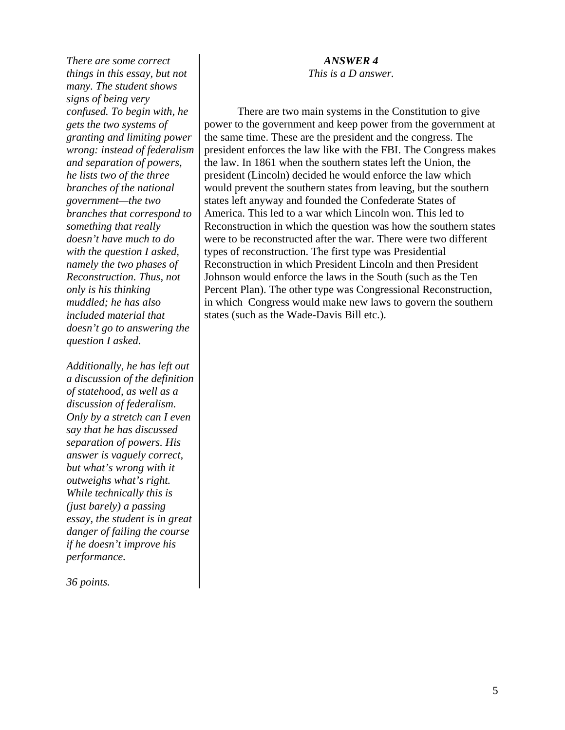*There are some correct things in this essay, but not many. The student shows signs of being very confused. To begin with, he gets the two systems of granting and limiting power wrong: instead of federalism and separation of powers, he lists two of the three branches of the national government—the two branches that correspond to something that really doesn't have much to do with the question I asked, namely the two phases of Reconstruction. Thus, not only is his thinking muddled; he has also included material that doesn't go to answering the question I asked.* 

*Additionally, he has left out a discussion of the definition of statehood, as well as a discussion of federalism. Only by a stretch can I even say that he has discussed separation of powers. His answer is vaguely correct, but what's wrong with it outweighs what's right. While technically this is (just barely) a passing essay, the student is in great danger of failing the course if he doesn't improve his performance.* 

*36 points.*

## *ANSWER 4*

*This is a D answer.* 

 There are two main systems in the Constitution to give power to the government and keep power from the government at the same time. These are the president and the congress. The president enforces the law like with the FBI. The Congress makes the law. In 1861 when the southern states left the Union, the president (Lincoln) decided he would enforce the law which would prevent the southern states from leaving, but the southern states left anyway and founded the Confederate States of America. This led to a war which Lincoln won. This led to Reconstruction in which the question was how the southern states were to be reconstructed after the war. There were two different types of reconstruction. The first type was Presidential Reconstruction in which President Lincoln and then President Johnson would enforce the laws in the South (such as the Ten Percent Plan). The other type was Congressional Reconstruction, in which Congress would make new laws to govern the southern states (such as the Wade-Davis Bill etc.).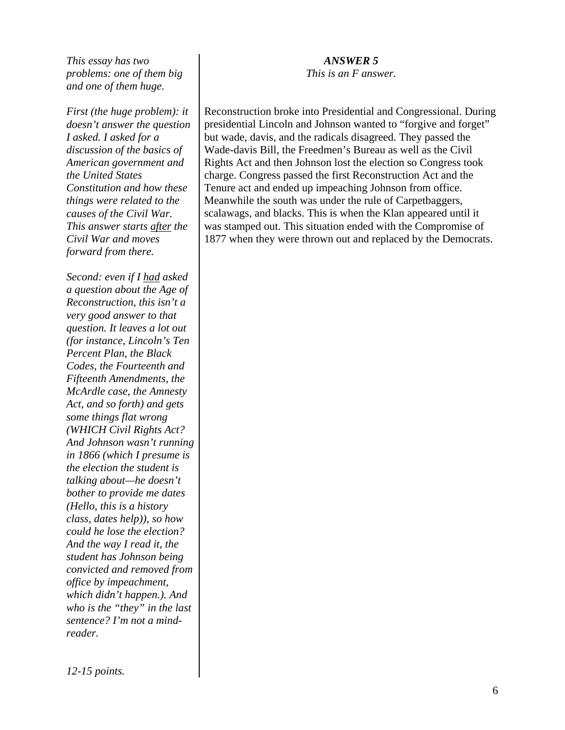*This essay has two problems: one of them big and one of them huge.* 

*First (the huge problem): it doesn't answer the question I asked. I asked for a discussion of the basics of American government and the United States Constitution and how these things were related to the causes of the Civil War. This answer starts after the Civil War and moves forward from there.* 

*Second: even if I had asked a question about the Age of Reconstruction, this isn't a very good answer to that question. It leaves a lot out (for instance, Lincoln's Ten Percent Plan, the Black Codes, the Fourteenth and Fifteenth Amendments, the McArdle case, the Amnesty Act, and so forth) and gets some things flat wrong (WHICH Civil Rights Act? And Johnson wasn't running in 1866 (which I presume is the election the student is talking about—he doesn't bother to provide me dates (Hello, this is a history class, dates help)), so how could he lose the election? And the way I read it, the student has Johnson being convicted and removed from office by impeachment, which didn't happen.). And who is the "they" in the last sentence? I'm not a mindreader.* 

#### *ANSWER 5*

*This is an F answer.* 

Reconstruction broke into Presidential and Congressional. During presidential Lincoln and Johnson wanted to "forgive and forget" but wade, davis, and the radicals disagreed. They passed the Wade-davis Bill, the Freedmen's Bureau as well as the Civil Rights Act and then Johnson lost the election so Congress took charge. Congress passed the first Reconstruction Act and the Tenure act and ended up impeaching Johnson from office. Meanwhile the south was under the rule of Carpetbaggers, scalawags, and blacks. This is when the Klan appeared until it was stamped out. This situation ended with the Compromise of 1877 when they were thrown out and replaced by the Democrats.